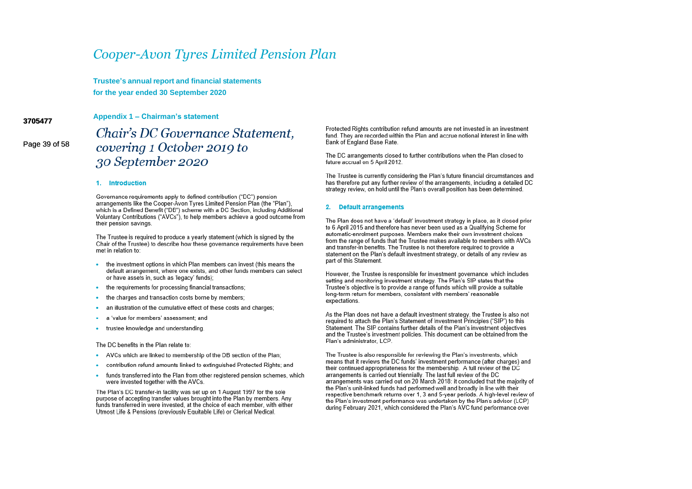Trustee's annual report and financial statements for the year ended 30 September 2020

3705477

Appendix 1 - Chairman's statement

Page 39 of 58

# Chair's DC Governance Statement. covering 1 October 2019 to 30 September 2020

#### 1. Introduction

Governance requirements apply to defined contribution ("DC") pension arrangements like the Cooper-Avon Tyres Limited Pension Plan (the "Plan"). which is a Defined Benefit ("DB") scheme with a DC Section, including Additional Voluntary Contributions ("AVCs"), to help members achieve a good outcome from their pension savings.

The Trustee is required to produce a yearly statement (which is signed by the Chair of the Trustee) to describe how these governance requirements have been met in relation to:

- the investment options in which Plan members can invest (this means the default arrangement, where one exists, and other funds members can select or have assets in, such as 'legacy' funds);
- the requirements for processing financial transactions:
- the charges and transaction costs borne by members:
- an illustration of the cumulative effect of these costs and charges:
- a 'value for members' assessment: and
- trustee knowledge and understanding

The DC benefits in the Plan relate to:

- AVCs which are linked to membership of the DB section of the Plan:
- contribution refund amounts linked to extinguished Protected Rights: and
- funds transferred into the Plan from other registered pension schemes, which were invested together with the AVCs.

The Plan's DC transfer-in facility was set up on 1 August 1997 for the sole purpose of accepting transfer values brought into the Plan by members. Any funds transferred in were invested, at the choice of each member, with either Utmost Life & Pensions (previously Equitable Life) or Clerical Medical.

Protected Rights contribution refund amounts are not invested in an investment fund. They are recorded within the Plan and accrue notional interest in line with Bank of England Base Rate.

The DC arrangements closed to further contributions when the Plan closed to future accrual on 5 April 2012.

The Trustee is currently considering the Plan's future financial circumstances and has therefore put any further review of the arrangements, including a detailed DC strategy review, on hold until the Plan's overall position has been determined.

#### 2. Default arrangements

The Plan does not have a 'default' investment strategy in place, as it closed prior to 6 April 2015 and therefore has never been used as a Qualifying Scheme for automatic-enrolment purposes. Members make their own investment choices from the range of funds that the Trustee makes available to members with AVCs and transfer-in benefits. The Trustee is not therefore required to provide a statement on the Plan's default investment strategy, or details of any review as part of this Statement.

However, the Trustee is responsible for investment governance, which includes setting and monitoring investment strategy. The Plan's SIP states that the Trustee's objective is to provide a range of funds which will provide a suitable long-term return for members, consistent with members' reasonable expectations.

As the Plan does not have a default investment strategy, the Trustee is also not required to attach the Plan's Statement of Investment Principles ("SIP") to this Statement. The SIP contains further details of the Plan's investment objectives and the Trustee's investment policies. This document can be obtained from the Plan's administrator, LCP.

The Trustee is also responsible for reviewing the Plan's investments, which means that it reviews the DC funds' investment performance (after charges) and their continued appropriateness for the membership. A full review of the DC arrangements is carried out triennially. The last full review of the DC arrangements was carried out on 20 March 2018; it concluded that the majority of the Plan's unit-linked funds had performed well and broadly in line with their respective benchmark returns over 1, 3 and 5-year periods. A high-level review of the Plan's investment performance was undertaken by the Plan's advisor (LCP) during February 2021, which considered the Plan's AVC fund performance over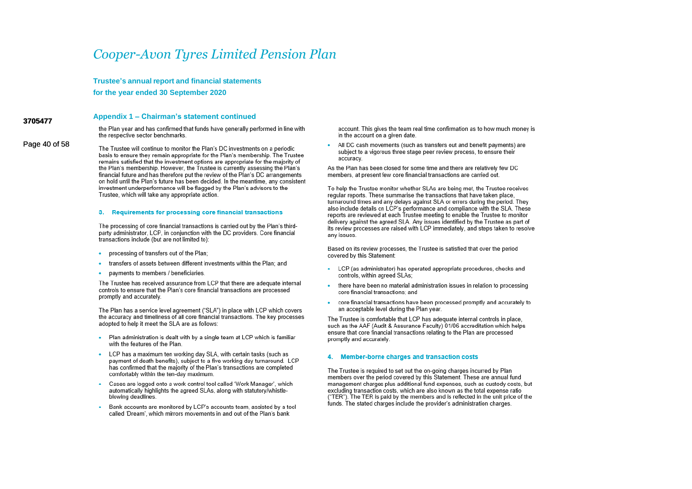Trustee's annual report and financial statements for the year ended 30 September 2020

### Appendix 1 - Chairman's statement continued

the Plan year and has confirmed that funds have generally performed in line with the respective sector benchmarks.

Page 40 of 58 The Trustee will continue to monitor the Plan's DC investments on a periodic basis to ensure they remain appropriate for the Plan's membership. The Trustee remains satisfied that the investment options are appropriate for the majority of the Plan's membership. However, the Trustee is currently assessing the Plan's financial future and has therefore put the review of the Plan's DC arrangements on hold until the Plan's future has been decided. In the meantime, any consistent investment underperformance will be flagged by the Plan's advisors to the Trustee, which will take any appropriate action.

3705477

#### 3. Requirements for processing core financial transactions

The processing of core financial transactions is carried out by the Plan's thirdparty administrator, LCP, in conjunction with the DC providers. Core financial transactions include (but are not limited to):

- processing of transfers out of the Plan:
- transfers of assets between different investments within the Plan; and
- payments to members / beneficiaries.

The Trustee has received assurance from LCP that there are adequate internal controls to ensure that the Plan's core financial transactions are processed promptly and accurately.

The Plan has a service level agreement ("SLA") in place with LCP which covers the accuracy and timeliness of all core financial transactions. The key processes adopted to help it meet the SLA are as follows:

- Plan administration is dealt with by a single team at LCP which is familiar with the features of the Plan.
- LCP has a maximum ten working day SLA, with certain tasks (such as payment of death benefits), subject to a five working day turnaround. LCP has confirmed that the majority of the Plan's transactions are completed comfortably within the ten-day maximum.
- Cases are logged onto a work control tool called 'Work Manager', which automatically highlights the agreed SLAs, along with statutory/whistleblowing deadlines.
- Bank accounts are monitored by LCP's accounts team, assisted by a tool called 'Dream', which mirrors movements in and out of the Plan's bank

account. This gives the team real time confirmation as to how much money is in the account on a given date.

All DC cash movements (such as transfers out and benefit payments) are ä. subject to a vigorous three stage peer review process, to ensure their accuracy.

As the Plan has been closed for some time and there are relatively few DC members, at present few core financial transactions are carried out.

To help the Trustee monitor whether SLAs are being met, the Trustee receives regular reports. These summarise the transactions that have taken place. turnaround times and any delays against SLA or errors during the period. They also include details on LCP's performance and compliance with the SLA. These reports are reviewed at each Trustee meeting to enable the Trustee to monitor delivery against the agreed SLA. Any issues identified by the Trustee as part of its review processes are raised with LCP immediately, and steps taken to resolve any issues.

Based on its review processes, the Trustee is satisfied that over the period covered by this Statement:

- LCP (as administrator) has operated appropriate procedures, checks and controls, within agreed SLAs:
- there have been no material administration issues in relation to processing core financial transactions: and
- core financial transactions have been processed promptly and accurately to ×. an acceptable level during the Plan year.

The Trustee is comfortable that LCP has adequate internal controls in place. such as the AAF (Audit & Assurance Faculty) 01/06 accreditation which helps ensure that core financial transactions relating to the Plan are processed promptly and accurately.

#### Member-borne charges and transaction costs 4.

The Trustee is required to set out the on-going charges incurred by Plan members over the period covered by this Statement. These are annual fund management charges plus additional fund expenses, such as custody costs, but excluding transaction costs, which are also known as the total expense ratio ("TER"). The TER is paid by the members and is reflected in the unit price of the funds. The stated charges include the provider's administration charges.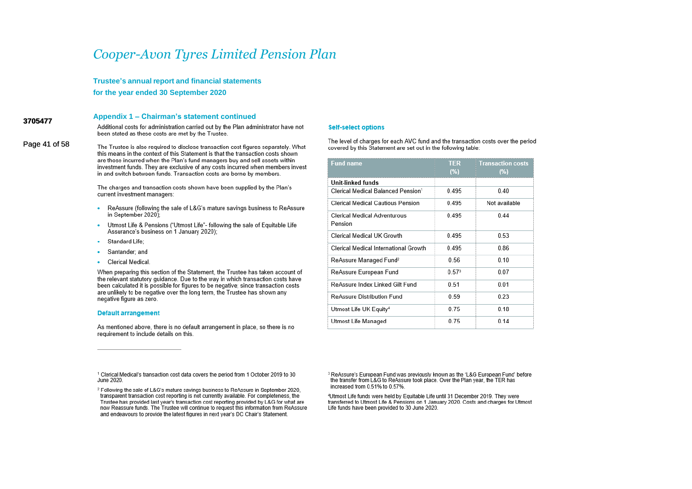**Trustee's annual report and financial statements**

**for the year ended 30 September 2020**

### **Appendix 1 – Chairman's statement continued**

**3705477 3705477** Additional costs for administration carried out by the Plan administrator have not been stated as these costs are met by the Trustee.

Page 41 of 58 The Trustee is also required to disclose transaction cost figures separately. What this means in the context of this Statement is that the transaction costs shown are those incurred when the Plan's fund managers buy and sell assets within investment funds. They are exclusive of any costs incurred when members invest in and switch between funds. Transaction costs are borne by members.

> The charges and transaction costs shown have been supplied by the Plan's current investment managers:

- ReAssure (following the sale of L&G's mature savings business to ReAssure ¥ in September 2020):
- Utmost Life & Pensions ("Utmost Life"- following the sale of Equitable Life ×. Assurance's business on 1 January 2020):
- Standard Life:
- Santander: and
- **Clerical Medical**  $\bullet$

When preparing this section of the Statement, the Trustee has taken account of the relevant statutory quidance. Due to the way in which transaction costs have been calculated it is possible for figures to be negative; since transaction costs are unlikely to be negative over the long term, the Trustee has shown any negative figure as zero.

#### **Default arrangement**

As mentioned above, there is no default arrangement in place, so there is no requirement to include details on this.

#### **Self-select options**

The level of charges for each AVC fund and the transaction costs over the period covered by this Statement are set out in the following table:

| <b>Fund name</b>                               | <b>TER</b><br>(%) | <b>Transaction costs</b><br>(%) |
|------------------------------------------------|-------------------|---------------------------------|
| Unit-linked funds                              |                   |                                 |
| Clerical Medical Balanced Pension <sup>1</sup> | 0.495             | 0.40                            |
| Clerical Medical Cautious Pension              | 0.495             | Not available                   |
| Clerical Medical Adventurous<br>Pension        | 0.495             | 0.44                            |
| Clerical Medical UK Growth                     | 0.495             | 0.53                            |
| Clerical Medical International Growth          | 0.495             | 0.86                            |
| ReAssure Managed Fund <sup>2</sup>             | 0.56              | 0.10                            |
| ReAssure European Fund                         | 0.57 <sup>3</sup> | 0.07                            |
| ReAssure Index Linked Gilt Fund                | 0.51              | 0.01                            |
| ReAssure Distribution Fund                     | 0.59              | 0.23                            |
| Utmost Life UK Equity <sup>4</sup>             | 0.75              | 0.18                            |
| Utmost Life Managed                            | 0.75              | 0.14                            |

<sup>1</sup> Clerical Medical's transaction cost data covers the period from 1 October 2019 to 30 June 2020.

<sup>3</sup> ReAssure's European Fund was previously known as the 'L&G European Fund' before the transfer from L&G to ReAssure took place. Over the Plan year, the TER has increased from 0.51% to 0.57%.

<sup>4</sup>Utmost Life funds were held by Equitable Life until 31 December 2019. They were transferred to Utmost Life & Pensions on 1 January 2020. Costs and charges for Utmost Life funds have been provided to 30 June 2020.

<sup>&</sup>lt;sup>2</sup> Following the sale of L&G's mature savings business to ReAssure in September 2020, transparent transaction cost reporting is not currently available. For completeness, the Trustee has provided last year's transaction cost reporting provided by L&G for what are now Reassure funds. The Trustee will continue to request this information from ReAssure and endeavours to provide the latest figures in next vear's DC Chair's Statement.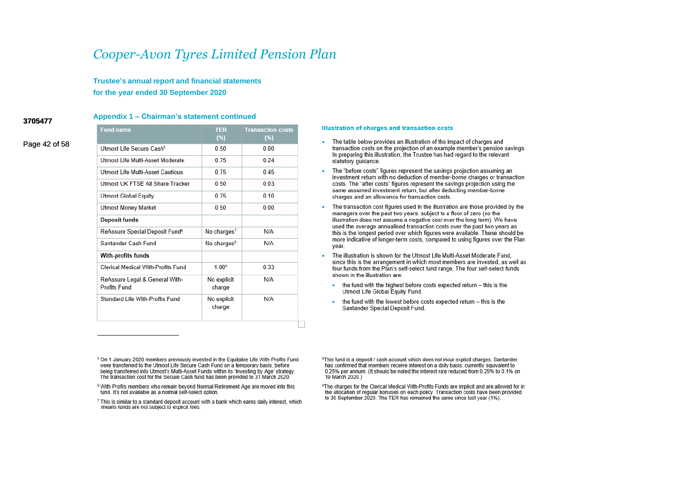**Trustee's annual report and financial statements for the year ended 30 September 2020**

#### **3705477 3705477**

### **Appendix 1 – Chairman's statement continued**

Page 42 of 58

| <b>Fund name</b>                               | <b>TER</b><br>(%)       | <b>Transaction costs</b><br>(%) |
|------------------------------------------------|-------------------------|---------------------------------|
| Utmost Life Secure Cash <sup>5</sup>           | 0.50                    | 0.00                            |
| Utmost Life Multi-Asset Moderate               | 0.75                    | 0.24                            |
| Utmost Life Multi-Asset Cautious               | 0 75                    | 0.45                            |
| Utmost UK FTSF All Share Tracker               | 0.50                    | 0.03                            |
| Utmost Global Equity                           | 0.75                    | 0.10                            |
| Utmost Money Market                            | 0.50                    | 0.00                            |
| Deposit funds                                  |                         |                                 |
| ReAssure Special Deposit Fund <sup>®</sup>     | No charges <sup>7</sup> | N/A                             |
| Santander Cash Fund                            | No charges <sup>8</sup> | N/A                             |
| With-profits funds                             |                         |                                 |
| Clerical Medical With-Profits Fund             | 100 <sup>9</sup>        | 0.33                            |
| ReAssure Legal & General With-<br>Profits Fund | No explicit<br>charge   | N/A                             |
| Standard Life With-Profits Fund                | No explicit<br>charge   | N/A                             |

#### Illustration of charges and transaction costs

- . The table below provides an illustration of the impact of charges and transaction costs on the projection of an example member's pension savings. In preparing this illustration, the Trustee has had regard to the relevant statutory guidance.
- The "before costs" figures represent the savings projection assuming an investment return with no deduction of member-borne charges or transaction costs. The "after costs" figures represent the savings projection using the same assumed investment return, but after deducting member-borne charges and an allowance for transaction costs.
- The transaction cost figures used in the illustration are those provided by the managers over the past two years, subject to a floor of zero (so the illustration does not assume a negative cost over the long term). We have used the average annualised transaction costs over the past two vears as this is the longest period over which figures were available. These should be more indicative of longer-term costs, compared to using figures over the Plan vear.
- The illustration is shown for the Utmost Life Multi-Asset Moderate Fund, since this is the arrangement in which most members are invested, as well as four funds from the Plan's self-select fund range. The four self-select funds shown in the illustration are:
	- ×. the fund with the highest before costs expected return - this is the Utmost Life Global Equity Fund.
	- the fund with the lowest before costs expected return this is the Santander Special Deposit Fund.

<sup>5</sup> On 1 January 2020 members previously invested in the Equitable Life With-Profits Fund were transferred to the Utmost Life Secure Cash Fund on a temporary basis, before being transferred into Utmost's Multi-Asset Funds within its 'Investing by Age' strategy. The transaction cost for the Secure Cash fund has been provided to 31 March 2020.

7 This is similar to a standard deposit account with a bank which earns daily interest, which means funds are not subject to explicit fees.

<sup>8</sup>This fund is a deposit / cash account which does not incur explicit charges. Santander has confirmed that members receive interest on a daily basis, currently equivalent to 0.25% per annum. (It should be noted the interest rate reduced from 0.25% to 0.1% on 19 March 2020.)

<sup>9</sup>The charges for the Clerical Medical With-Profits Funds are implicit and are allowed for in the allocation of regular bonuses on each policy. Transaction costs have been provided to 30 September 2020. The TER has remained the same since last year (1%).

<sup>&</sup>lt;sup>6</sup> With Profits members who remain beyond Normal Retirement Age are moved into this fund. It's not available as a normal self-select option.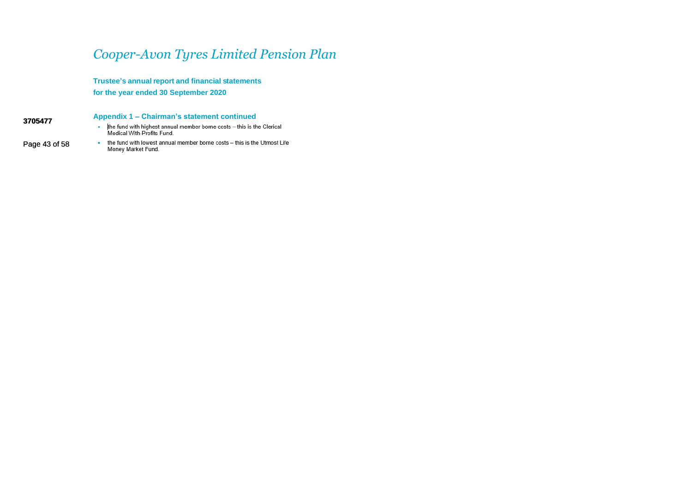**Trustee's annual report and financial statements for the year ended 30 September 2020**

**3705477 3705477**

Page 43 of 58

### **Appendix 1 – Chairman's statement continued**

- the fund with highest annual member borne costs this is the Clerical Medical With-Profits Fund.
- $\bullet$ the fund with lowest annual member borne costs - this is the Utmost Life Money Market Fund.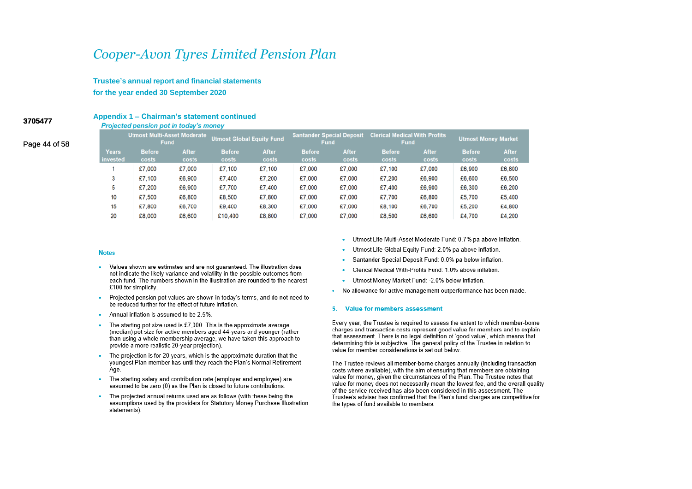Trustee's annual report and financial statements for the year ended 30 September 2020

### Appendix 1 - Chairman's statement continued Projected pension pot in today's money

**Utmost Multi-Asset Moderate** Santander Special Deposit Clerical Medical With Profits **Utmost Global Equity Fund Utmost Money Market Fund Fund Fund Before Years Before** After **Before** After **Before** After **Before** After After **vested** costs costs costs costs costs costs costs costs costs costs  $\mathbf{1}$ £7.000 £7,000 £7.100 £7.100 £7,000 £7,000 £7.100 £7,000 £6,900 £6,800  $\overline{3}$ £7,100 £6,900 £7,400 £7,200 £7,000 £7,000 £7,200 £6,900 £6,500 £6,600 5 £7.200 £6,900 £7.700 £7.400 £7.000 £7.000 £7.400 £6,900 £6,300 £6.200  $10$ £5,400 £7.500 £6,800 £8,500 £7,800 £7,000 £7,000 £7,700 £6,800 £5,700 15 £7,800 £6.700 £9,400 £8,300 £7,000 £7,000 £8,100 £6,700 £5,200 £4,800 20 £8,000 £6,600 £10,400 £8,800 £7,000 £7,000 £8,500 £6,600 £4.700 £4.200

#### **Notes**

- Values shown are estimates and are not guaranteed. The illustration does not indicate the likely variance and volatility in the possible outcomes from each fund. The numbers shown in the illustration are rounded to the nearest £100 for simplicity.
- $\bullet$ Projected pension pot values are shown in today's terms, and do not need to be reduced further for the effect of future inflation.
- Annual inflation is assumed to be 2.5%
- × The starting pot size used is £7,000. This is the approximate average (median) pot size for active members aged 44-years and younger (rather than using a whole membership average, we have taken this approach to provide a more realistic 20-year projection).
- The projection is for 20 years, which is the approximate duration that the youngest Plan member has until they reach the Plan's Normal Retirement Age.
- The starting salary and contribution rate (employer and employee) are assumed to be zero (0) as the Plan is closed to future contributions.
- The projected annual returns used are as follows (with these being the  $\bullet$ assumptions used by the providers for Statutory Money Purchase Illustration statements):
- . Utmost Life Multi-Asset Moderate Fund: 0.7% pa above inflation.
- Utmost Life Global Equity Fund: 2.0% pa above inflation.
- Santander Special Deposit Fund: 0.0% pa below inflation.
- Clerical Medical With-Profits Fund: 1.0% above inflation.
- Utmost Money Market Fund: -2.0% below inflation.
- . No allowance for active management outperformance has been made.

#### 5. Value for members assessment

Every year, the Trustee is required to assess the extent to which member-borne charges and transaction costs represent good value for members and to explain that assessment. There is no legal definition of 'good value', which means that determining this is subjective. The general policy of the Trustee in relation to value for member considerations is set out below.

The Trustee reviews all member-borne charges annually (including transaction costs where available), with the aim of ensuring that members are obtaining value for money, given the circumstances of the Plan. The Trustee notes that value for money does not necessarily mean the lowest fee, and the overall quality of the service received has also been considered in this assessment. The Trustee's adviser has confirmed that the Plan's fund charges are competitive for the types of fund available to members.

3705477

Page 44 of 58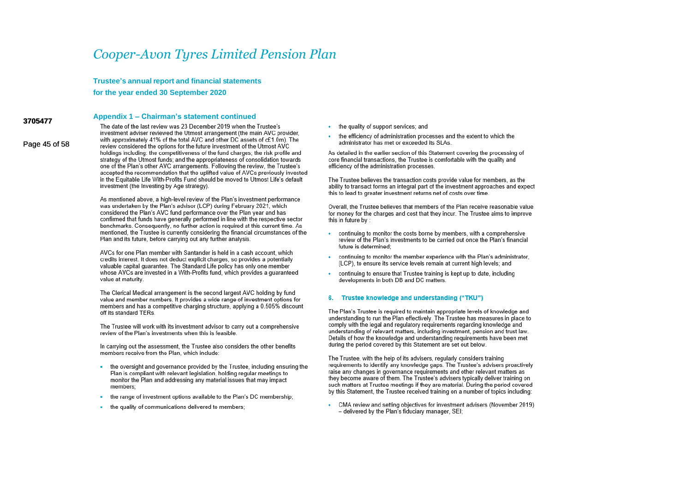Trustee's annual report and financial statements

for the year ended 30 September 2020

### Appendix 1 - Chairman's statement continued

Page 45 of 58

3705477

The date of the last review was 23 December 2019 when the Trustee's investment adviser reviewed the Utmost arrangement (the main AVC provider. with approximately 41% of the total AVC and other DC assets of c£1.0m). The review considered the options for the future investment of the Utmost AVC holdings including: the competitiveness of the fund charges: the risk profile and strategy of the Utmost funds; and the appropriateness of consolidation towards one of the Plan's other AVC arrangements. Following the review, the Trustee's accepted the recommendation that the uplifted value of AVCs previously invested in the Equitable Life With-Profits Fund should be moved to Utmost Life's default investment (the Investing by Age strategy).

As mentioned above a high-level review of the Plan's investment performance was undertaken by the Plan's advisor (LCP) during February 2021, which considered the Plan's AVC fund performance over the Plan year and has confirmed that funds have generally performed in line with the respective sector benchmarks. Consequently, no further action is required at this current time. As mentioned, the Trustee is currently considering the financial circumstances of the Plan and its future, before carrying out any further analysis.

AVCs for one Plan member with Santander is held in a cash account, which credits interest. It does not deduct explicit charges, so provides a potentially valuable capital quarantee. The Standard Life policy has only one member whose AVCs are invested in a With-Profits fund, which provides a quaranteed value at maturity

The Clerical Medical arrangement is the second largest AVC holding by fund value and member numbers. It provides a wide range of investment options for members and has a competitive charging structure, applying a 0.505% discount off its standard TERs.

The Trustee will work with its investment advisor to carry out a comprehensive review of the Plan's investments when this is feasible.

In carrying out the assessment, the Trustee also considers the other benefits members receive from the Plan, which include:

- the oversight and governance provided by the Trustee, including ensuring the Plan is compliant with relevant legislation, holding regular meetings to monitor the Plan and addressing any material issues that may impact members:
- the range of investment options available to the Plan's DC membership;  $\sim$
- the quality of communications delivered to members:
- the quality of support services; and  $\sim$
- the efficiency of administration processes and the extent to which the administrator has met or exceeded its SLAs.

As detailed in the earlier section of this Statement covering the processing of core financial transactions, the Trustee is comfortable with the quality and efficiency of the administration processes.

The Trustee believes the transaction costs provide value for members, as the ability to transact forms an integral part of the investment approaches and expect this to lead to greater investment returns net of costs over time

Overall, the Trustee believes that members of the Plan receive reasonable value for money for the charges and cost that they incur. The Trustee aims to improve this in future by :

- continuing to monitor the costs borne by members, with a comprehensive review of the Plan's investments to be carried out once the Plan's financial future is determined:
- continuing to monitor the member experience with the Plan's administrator. (LCP), to ensure its service levels remain at current high levels; and
- continuing to ensure that Trustee training is kept up to date, including developments in both DB and DC matters.

#### 6. Trustee knowledge and understanding ("TKU")

The Plan's Trustee is required to maintain appropriate levels of knowledge and understanding to run the Plan effectively. The Trustee has measures in place to comply with the legal and regulatory requirements regarding knowledge and understanding of relevant matters, including investment, pension and trust law. Details of how the knowledge and understanding requirements have been met during the period covered by this Statement are set out below.

The Trustee, with the help of its advisers, regularly considers training requirements to identify any knowledge gaps. The Trustee's advisers proactively raise any changes in governance requirements and other relevant matters as they become aware of them. The Trustee's advisers typically deliver training on such matters at Trustee meetings if they are material. During the period covered by this Statement, the Trustee received training on a number of topics including:

CMA review and setting objectives for investment advisers (November 2019) - delivered by the Plan's fiduciary manager, SEI;